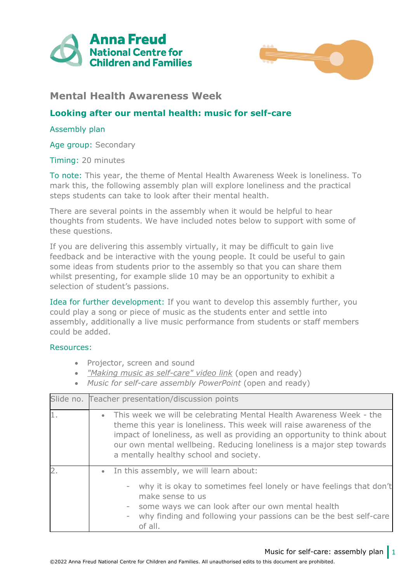



## **Mental Health Awareness Week**

## **Looking after our mental health: music for self-care**

## Assembly plan

Age group: Secondary

Timing: 20 minutes

To note: This year, the theme of Mental Health Awareness Week is loneliness. To mark this, the following assembly plan will explore loneliness and the practical steps students can take to look after their mental health.

There are several points in the assembly when it would be helpful to hear thoughts from students. We have included notes below to support with some of these questions.

If you are delivering this assembly virtually, it may be difficult to gain live feedback and be interactive with the young people. It could be useful to gain some ideas from students prior to the assembly so that you can share them whilst presenting, for example slide 10 may be an opportunity to exhibit a selection of student's passions.

Idea for further development: If you want to develop this assembly further, you could play a song or piece of music as the students enter and settle into assembly, additionally a live music performance from students or staff members could be added.

## Resources:

- Projector, screen and sound
- *["Making music as self-care" video link](https://youtu.be/TMmuAhIydFo)* (open and ready)
- *Music for self-care assembly PowerPoint* (open and ready)

| Slide no. Teacher presentation/discussion points                                                                                                                                                                                                                                                                                             |  |  |
|----------------------------------------------------------------------------------------------------------------------------------------------------------------------------------------------------------------------------------------------------------------------------------------------------------------------------------------------|--|--|
| • This week we will be celebrating Mental Health Awareness Week - the<br>theme this year is loneliness. This week will raise awareness of the<br>impact of loneliness, as well as providing an opportunity to think about<br>our own mental wellbeing. Reducing loneliness is a major step towards<br>a mentally healthy school and society. |  |  |
| • In this assembly, we will learn about:<br>- why it is okay to sometimes feel lonely or have feelings that don't<br>make sense to us<br>- some ways we can look after our own mental health<br>why finding and following your passions can be the best self-care<br>of all.                                                                 |  |  |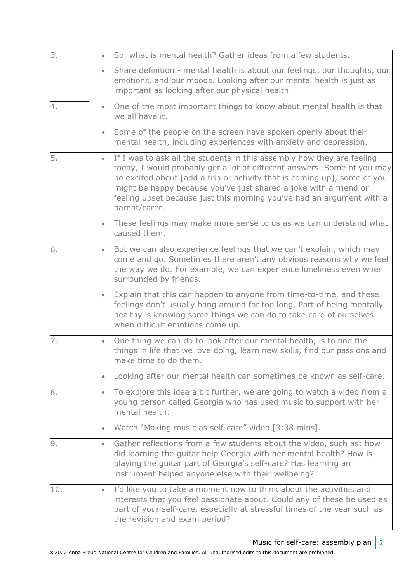| 3.  | $\bullet$ | So, what is mental health? Gather ideas from a few students.                                                                                                                                                                                                                                                                                                                                 |
|-----|-----------|----------------------------------------------------------------------------------------------------------------------------------------------------------------------------------------------------------------------------------------------------------------------------------------------------------------------------------------------------------------------------------------------|
|     | $\bullet$ | Share definition - mental health is about our feelings, our thoughts, our<br>emotions, and our moods. Looking after our mental health is just as<br>important as looking after our physical health.                                                                                                                                                                                          |
| 4.  |           | One of the most important things to know about mental health is that<br>we all have it.                                                                                                                                                                                                                                                                                                      |
|     | $\bullet$ | Some of the people on the screen have spoken openly about their<br>mental health, including experiences with anxiety and depression.                                                                                                                                                                                                                                                         |
| 5.  | $\bullet$ | If I was to ask all the students in this assembly how they are feeling<br>today, I would probably get a lot of different answers. Some of you may<br>be excited about [add a trip or activity that is coming up], some of you<br>might be happy because you've just shared a joke with a friend or<br>feeling upset because just this morning you've had an argument with a<br>parent/carer. |
|     | $\bullet$ | These feelings may make more sense to us as we can understand what<br>caused them.                                                                                                                                                                                                                                                                                                           |
| 6.  | $\bullet$ | But we can also experience feelings that we can't explain, which may<br>come and go. Sometimes there aren't any obvious reasons why we feel<br>the way we do. For example, we can experience loneliness even when<br>surrounded by friends.                                                                                                                                                  |
|     | $\bullet$ | Explain that this can happen to anyone from time-to-time, and these<br>feelings don't usually hang around for too long. Part of being mentally<br>healthy is knowing some things we can do to take care of ourselves<br>when difficult emotions come up.                                                                                                                                     |
| 7.  | $\bullet$ | One thing we can do to look after our mental health, is to find the<br>things in life that we love doing, learn new skills, find our passions and<br>make time to do them.                                                                                                                                                                                                                   |
|     |           | Looking after our mental health can sometimes be known as self-care.                                                                                                                                                                                                                                                                                                                         |
| 8.  |           | To explore this idea a bit further, we are going to watch a video from a<br>young person called Georgia who has used music to support with her<br>mental health.                                                                                                                                                                                                                             |
|     | $\bullet$ | Watch "Making music as self-care" video [3:38 mins].                                                                                                                                                                                                                                                                                                                                         |
| 9.  | ٠         | Gather reflections from a few students about the video, such as: how<br>did learning the guitar help Georgia with her mental health? How is<br>playing the guitar part of Georgia's self-care? Has learning an<br>instrument helped anyone else with their wellbeing?                                                                                                                        |
| 10. | $\bullet$ | I'd like you to take a moment now to think about the activities and<br>interests that you feel passionate about. Could any of these be used as<br>part of your self-care, especially at stressful times of the year such as<br>the revision and exam period?                                                                                                                                 |